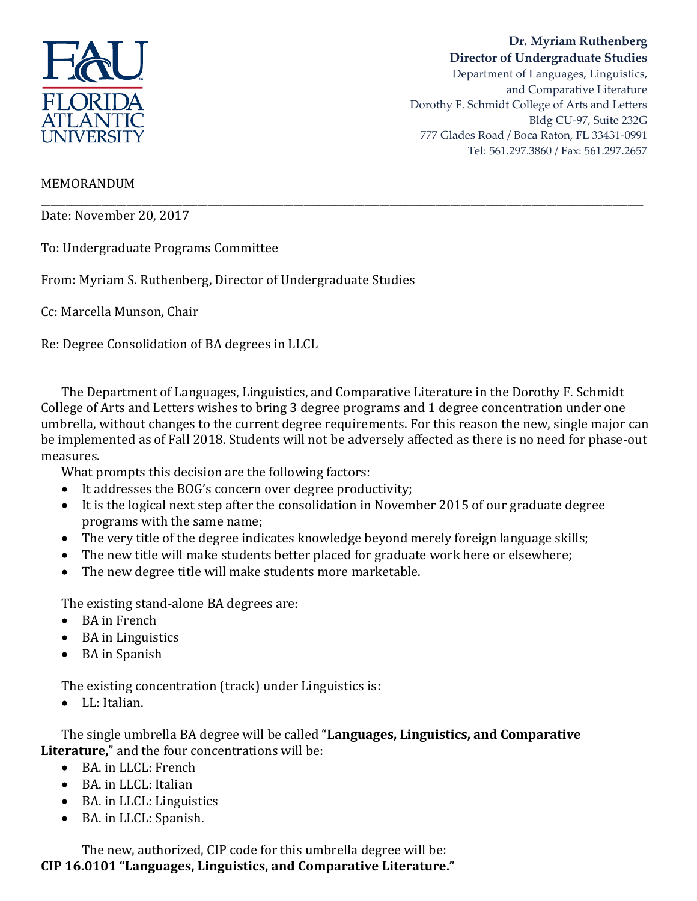

## **Dr. Myriam Ruthenberg Director of Undergraduate Studies**

Department of Languages, Linguistics, and Comparative Literature Dorothy F. Schmidt College of Arts and Letters Bldg CU-97, Suite 232G 777 Glades Road / Boca Raton, FL 33431-0991 Tel: 561.297.3860 / Fax: 561.297.2657

## MEMORANDUM

Date: November 20, 2017

To: Undergraduate Programs Committee

From: Myriam S. Ruthenberg, Director of Undergraduate Studies

Cc: Marcella Munson, Chair

Re: Degree Consolidation of BA degrees in LLCL

The Department of Languages, Linguistics, and Comparative Literature in the Dorothy F. Schmidt College of Arts and Letters wishes to bring 3 degree programs and 1 degree concentration under one umbrella, without changes to the current degree requirements. For this reason the new, single major can be implemented as of Fall 2018. Students will not be adversely affected as there is no need for phase-out measures.

\_\_\_\_\_\_\_\_\_\_\_\_\_\_\_\_\_\_\_\_\_\_\_\_\_\_\_\_\_\_\_\_\_\_\_\_\_\_\_\_\_\_\_\_\_\_\_\_\_\_\_\_\_\_\_\_\_\_\_\_\_\_\_\_\_\_\_\_\_\_\_\_\_\_\_\_\_\_\_\_\_\_\_\_\_\_\_\_\_\_\_\_\_\_\_\_\_\_\_\_\_\_\_\_\_\_\_\_\_\_\_\_\_\_\_\_\_\_\_

What prompts this decision are the following factors:

- It addresses the BOG's concern over degree productivity;
- It is the logical next step after the consolidation in November 2015 of our graduate degree programs with the same name;
- The very title of the degree indicates knowledge beyond merely foreign language skills;
- The new title will make students better placed for graduate work here or elsewhere;
- The new degree title will make students more marketable.

The existing stand-alone BA degrees are:

- BA in French
- BA in Linguistics
- BA in Spanish

The existing concentration (track) under Linguistics is:

LL: Italian.

The single umbrella BA degree will be called "**Languages, Linguistics, and Comparative Literature,**" and the four concentrations will be:

- BA. in LLCL: French
- BA. in LLCL: Italian
- BA. in LLCL: Linguistics
- BA. in LLCL: Spanish.

The new, authorized, CIP code for this umbrella degree will be: **CIP 16.0101 "Languages, Linguistics, and Comparative Literature."**